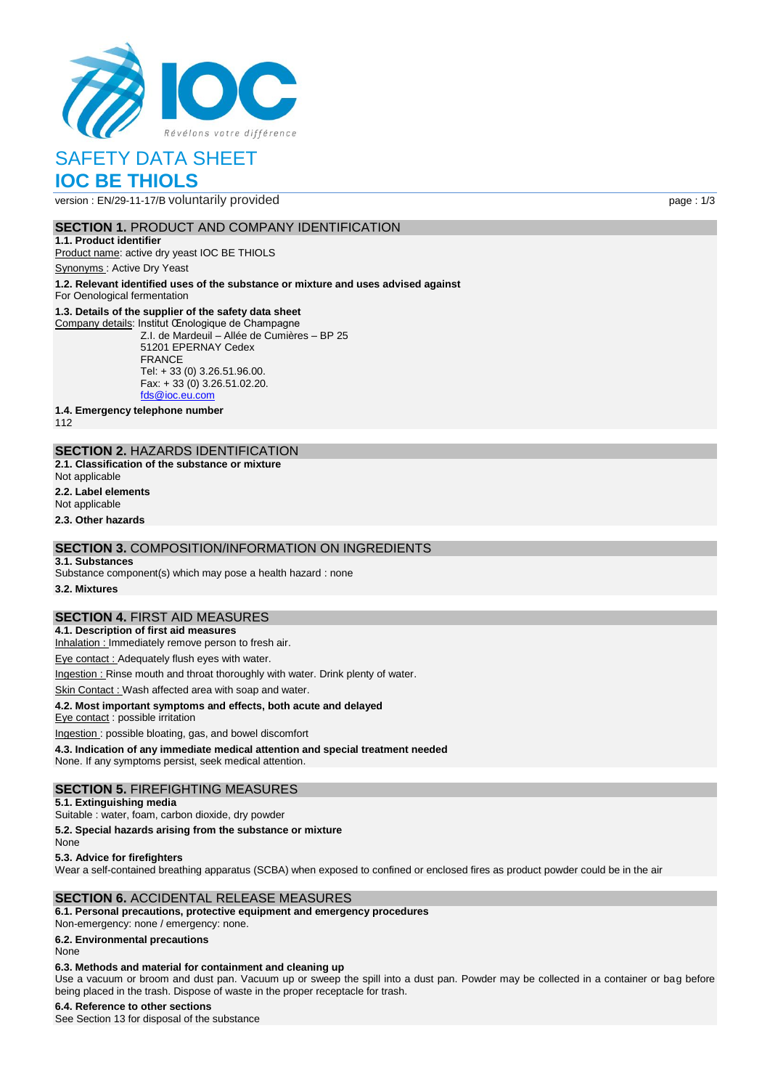

# SAFETY DATA SHEET **IOC BE THIOLS**

version : EN/29-11-17/B voluntarily provided page : 1/3

## **SECTION 1. PRODUCT AND COMPANY IDENTIFICATION**

**1.1. Product identifier** Product name: active dry yeast IOC BE THIOLS

Synonyms : Active Dry Yeast

**1.2. Relevant identified uses of the substance or mixture and uses advised against**

For Oenological fermentation

### **1.3. Details of the supplier of the safety data sheet**

Company details: Institut Œnologique de Champagne Z.I. de Mardeuil – Allée de Cumières – BP 25 51201 EPERNAY Cedex FRANCE Tel: + 33 (0) 3.26.51.96.00. Fax: + 33 (0) 3.26.51.02.20. [fds@ioc.eu.com](mailto:fds@ioc.eu.com)

**1.4. Emergency telephone number**

112

## **SECTION 2.** HAZARDS IDENTIFICATION

- **2.1. Classification of the substance or mixture**
- Not applicable
- **2.2. Label elements**

Not applicable

**2.3. Other hazards**

## **SECTION 3.** COMPOSITION/INFORMATION ON INGREDIENTS

#### **3.1. Substances**

Substance component(s) which may pose a health hazard : none

**3.2. Mixtures**

## **SECTION 4.** FIRST AID MEASURES

**4.1. Description of first aid measures**

Inhalation : Immediately remove person to fresh air.

Eye contact : Adequately flush eyes with water.

Ingestion : Rinse mouth and throat thoroughly with water. Drink plenty of water.

Skin Contact : Wash affected area with soap and water.

### **4.2. Most important symptoms and effects, both acute and delayed**

Eye contact : possible irritation

Ingestion : possible bloating, gas, and bowel discomfort **4.3. Indication of any immediate medical attention and special treatment needed**

None. If any symptoms persist, seek medical attention.

### **SECTION 5.** FIREFIGHTING MEASURES

## **5.1. Extinguishing media**

Suitable : water, foam, carbon dioxide, dry powder

**5.2. Special hazards arising from the substance or mixture**

None

**5.3. Advice for firefighters**

Wear a self-contained breathing apparatus (SCBA) when exposed to confined or enclosed fires as product powder could be in the air

## **SECTION 6.** ACCIDENTAL RELEASE MEASURES

## **6.1. Personal precautions, protective equipment and emergency procedures**

Non‐emergency: none / emergency: none.

**6.2. Environmental precautions**

None

### **6.3. Methods and material for containment and cleaning up**

Use a vacuum or broom and dust pan. Vacuum up or sweep the spill into a dust pan. Powder may be collected in a container or bag before being placed in the trash. Dispose of waste in the proper receptacle for trash.

### **6.4. Reference to other sections**

See Section 13 for disposal of the substance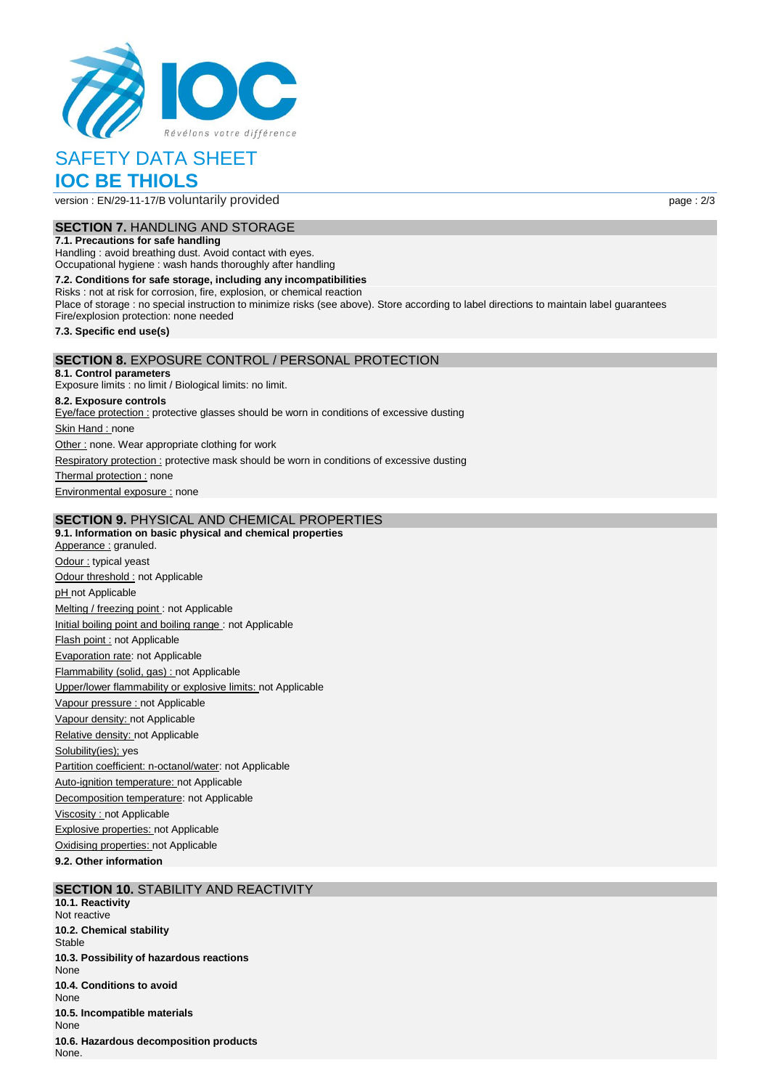

# SAFETY DATA SHEET **IOC BE THIOLS**

version : EN/29-11-17/B voluntarily provided page : 2/3

# **SECTION 7.** HANDLING AND STORAGE

**7.1. Precautions for safe handling**

Handling : avoid breathing dust. Avoid contact with eyes. Occupational hygiene : wash hands thoroughly after handling

**7.2. Conditions for safe storage, including any incompatibilities** Risks : not at risk for corrosion, fire, explosion, or chemical reaction Place of storage : no special instruction to minimize risks (see above). Store according to label directions to maintain label guarantees Fire/explosion protection: none needed **7.3. Specific end use(s) SECTION 8.** EXPOSURE CONTROL / PERSONAL PROTECTION **8.1. Control parameters** Exposure limits : no limit / Biological limits: no limit.

**8.2. Exposure controls** Eye/face protection : protective glasses should be worn in conditions of excessive dusting Skin Hand : none Other : none. Wear appropriate clothing for work Respiratory protection : protective mask should be worn in conditions of excessive dusting Thermal protection : none Environmental exposure : none

### **SECTION 9.** PHYSICAL AND CHEMICAL PROPERTIES

**9.1. Information on basic physical and chemical properties** Apperance : granuled. Odour : typical yeast Odour threshold : not Applicable pH not Applicable Melting / freezing point : not Applicable Initial boiling point and boiling range : not Applicable Flash point : not Applicable Evaporation rate: not Applicable Flammability (solid, gas) : not Applicable Upper/lower flammability or explosive limits: not Applicable Vapour pressure : not Applicable Vapour density: not Applicable Relative density: not Applicable Solubility(ies); yes Partition coefficient: n-octanol/water: not Applicable Auto-ignition temperature: not Applicable Decomposition temperature: not Applicable Viscosity : not Applicable Explosive properties: not Applicable Oxidising properties: not Applicable

**9.2. Other information**

# **SECTION 10.** STABILITY AND REACTIVITY

**10.1. Reactivity** Not reactive **10.2. Chemical stability Stable 10.3. Possibility of hazardous reactions** None **10.4. Conditions to avoid** None **10.5. Incompatible materials** None **10.6. Hazardous decomposition products** None.